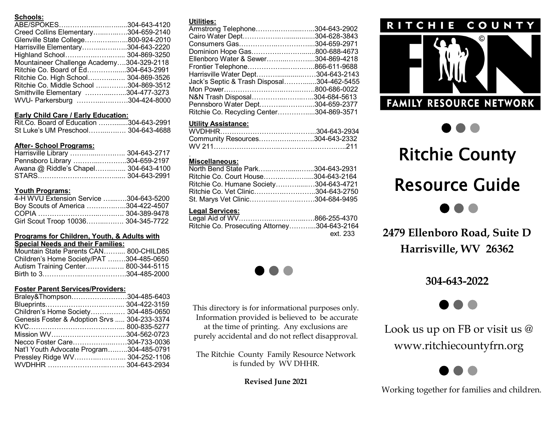# **Schools:**

| ABE/SPOKES304-643-4120                    |  |
|-------------------------------------------|--|
| Creed Collins Elementary304-659-2140      |  |
| Glenville State College800-924-2010       |  |
| Harrisville Elementary304-643-2220        |  |
| Highland School 304-869-3250              |  |
| Mountaineer Challenge Academy304-329-2118 |  |
| Ritchie Co. Board of Ed304-643-2991       |  |
| Ritchie Co. High School 304-869-3526      |  |
| Ritchie Co. Middle School 304-869-3512    |  |
| Smithville Elementary 304-477-3273        |  |
| WVU- Parkersburg 304-424-8000             |  |
|                                           |  |

## **Early Child Care / Early Education:**

| Rit.Co. Board of Education 304-643-2991 |  |
|-----------------------------------------|--|
| St Luke's UM Preschool 304-643-4688     |  |

# **After- School Programs:**

| Harrisville Library  304-643-2717    |  |
|--------------------------------------|--|
| Pennsboro Library 304-659-2197       |  |
| Awana @ Riddle's Chapel 304-643-4100 |  |
|                                      |  |

# **Youth Programs:**

| 4-H WVU Extension Service 304-643-5200 |  |
|----------------------------------------|--|
| Boy Scouts of America 304-422-4507     |  |
|                                        |  |
| Girl Scout Troop 10036 304-345-7722    |  |

#### **Programs for Children, Youth, & Adults with Special Needs and their Families:**

| Mountain State Parents CAN 800-CHILD85   |  |
|------------------------------------------|--|
| Children's Home Society/PAT 304-485-0650 |  |
| Autism Training Center 800-344-5115      |  |
|                                          |  |

# **Foster Parent Services/Providers:**

| Braley&Thompson304-485-6403                  |  |
|----------------------------------------------|--|
|                                              |  |
| Children's Home Society 304-485-0650         |  |
| Genesis Foster & Adoption Srvs  304-233-3374 |  |
|                                              |  |
| Mission WV304-562-0723                       |  |
| Necco Foster Care304-733-0036                |  |
| Nat'l Youth Advocate Program304-485-0791     |  |
| Pressley Ridge WV 304-252-1106               |  |
|                                              |  |

### **Utilities:**

| ounucs.                                    |  |
|--------------------------------------------|--|
| Armstrong Telephone304-643-2902            |  |
|                                            |  |
|                                            |  |
| Dominion Hope Gas800-688-4673              |  |
| Ellenboro Water & Sewer304-869-4218        |  |
| Frontier Telephone866-611-9688             |  |
| Harrisville Water Dept304-643-2143         |  |
| Jack's Septic & Trash Disposal304-462-5455 |  |
|                                            |  |
| N&N Trash Disposal304-684-5613             |  |
| Pennsboro Water Dept304-659-2377           |  |
| Ritchie Co. Recycling Center304-869-3571   |  |
|                                            |  |

# **Utility Assistance:**

| Community Resources304-643-2332 |  |
|---------------------------------|--|
|                                 |  |

#### . **Miscellaneous:**

| North Bend State Park304-643-2931      |  |
|----------------------------------------|--|
| Ritchie Co. Court House304-643-2164    |  |
| Ritchie Co. Humane Society304-643-4721 |  |
| Ritchie Co. Vet Clinic304-643-2750     |  |
| St. Marys Vet Clinic304-684-9495       |  |
|                                        |  |

# **Legal Services:**

| Ritchie Co. Prosecuting Attorney304-643-2164 |          |
|----------------------------------------------|----------|
|                                              | ext. 233 |



This directory is for informational purposes only. Information provided is believed to be accurate at the time of printing. Any exclusions are purely accidental and do not reflect disapproval.

The Ritchie County Family Resource Network is funded by WV DHHR.

**Revised June 2021**

#### **RITCHIE** COUNT









**2479 Ellenboro Road, Suite D Harrisville, WV 26362**

# **304-643-2022**



Look us up on FB or visit us  $\omega$ www.ritchiecountyfrn.org



Working together for families and children.